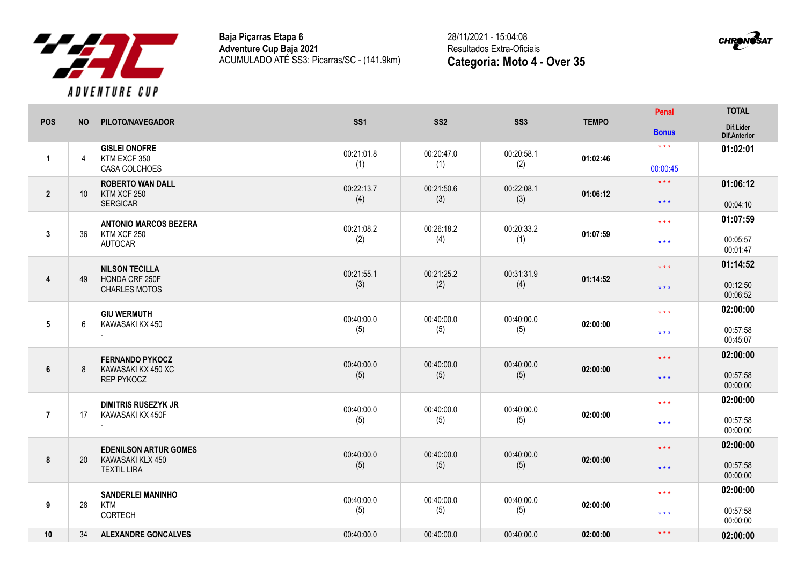

**Baja Piçarras Etapa 6 Adventure Cup Baja 2021** ACUMULADO ATÉ SS3: Picarras/SC - (141.9km) 28/11/2021 - 15:04:08 Resultados Extra-Oficiais **Categoria: Moto 4 - Over 35**



| <b>POS</b>      | <b>NO</b>      | <b>PILOTO/NAVEGADOR</b>                                                | SS <sub>1</sub>   | SS <sub>2</sub>   | SS <sub>3</sub>   | <b>TEMPO</b> | Penal                                        | <b>TOTAL</b>                     |
|-----------------|----------------|------------------------------------------------------------------------|-------------------|-------------------|-------------------|--------------|----------------------------------------------|----------------------------------|
|                 |                |                                                                        |                   |                   |                   |              | <b>Bonus</b>                                 | Dif.Lider<br>Dif.Anterior        |
| $\mathbf{1}$    | $\overline{4}$ | <b>GISLEI ONOFRE</b><br>KTM EXCF 350<br>CASA COLCHOES                  | 00:21:01.8<br>(1) | 00:20:47.0<br>(1) | 00:20:58.1<br>(2) | 01:02:46     | $***$<br>00:00:45                            | 01:02:01                         |
| $\mathbf{2}$    | 10             | <b>ROBERTO WAN DALL</b><br>KTM XCF 250<br><b>SERGICAR</b>              | 00:22:13.7<br>(4) | 00:21:50.6<br>(3) | 00:22:08.1<br>(3) | 01:06:12     | $\star\star\star$<br>$\star$ $\star$ $\star$ | 01:06:12<br>00:04:10             |
| 3               | 36             | <b>ANTONIO MARCOS BEZERA</b><br>KTM XCF 250<br><b>AUTOCAR</b>          | 00:21:08.2<br>(2) | 00:26:18.2<br>(4) | 00:20:33.2<br>(1) | 01:07:59     | $\star \star \star$<br>$\star\star\star$     | 01:07:59<br>00:05:57<br>00:01:47 |
| 4               | 49             | <b>NILSON TECILLA</b><br>HONDA CRF 250F<br><b>CHARLES MOTOS</b>        | 00:21:55.1<br>(3) | 00:21:25.2<br>(2) | 00:31:31.9<br>(4) | 01:14:52     | $***$<br>$\star\star\star$                   | 01:14:52<br>00:12:50<br>00:06:52 |
| $5\phantom{.0}$ | 6              | <b>GIU WERMUTH</b><br>KAWASAKI KX 450                                  | 00:40:00.0<br>(5) | 00:40:00.0<br>(5) | 00:40:00.0<br>(5) | 02:00:00     | $***$<br>$\star\star\star$                   | 02:00:00<br>00:57:58<br>00:45:07 |
| 6               | 8              | <b>FERNANDO PYKOCZ</b><br>KAWASAKI KX 450 XC<br><b>REP PYKOCZ</b>      | 00:40:00.0<br>(5) | 00:40:00.0<br>(5) | 00:40:00.0<br>(5) | 02:00:00     | $\star$ $\star$ $\star$<br>$\star\star\star$ | 02:00:00<br>00:57:58<br>00:00:00 |
| $\overline{7}$  | 17             | <b>DIMITRIS RUSEZYK JR</b><br>KAWASAKI KX 450F                         | 00:40:00.0<br>(5) | 00:40:00.0<br>(5) | 00:40:00.0<br>(5) | 02:00:00     | $\star\star\star$<br>$\star\star\star$       | 02:00:00<br>00:57:58<br>00:00:00 |
| 8               | 20             | <b>EDENILSON ARTUR GOMES</b><br>KAWASAKI KLX 450<br><b>TEXTIL LIRA</b> | 00:40:00.0<br>(5) | 00:40:00.0<br>(5) | 00:40:00.0<br>(5) | 02:00:00     | $\star\star\star$<br>$\star$ $\star$ $\star$ | 02:00:00<br>00:57:58<br>00:00:00 |
| 9               | 28             | <b>SANDERLEI MANINHO</b><br>KTM<br>CORTECH                             | 00:40:00.0<br>(5) | 00:40:00.0<br>(5) | 00:40:00.0<br>(5) | 02:00:00     | $***$<br>$***$                               | 02:00:00<br>00:57:58<br>00:00:00 |
| 10              | 34             | <b>ALEXANDRE GONCALVES</b>                                             | 00:40:00.0        | 00:40:00.0        | 00:40:00.0        | 02:00:00     | $***$                                        | 02:00:00                         |